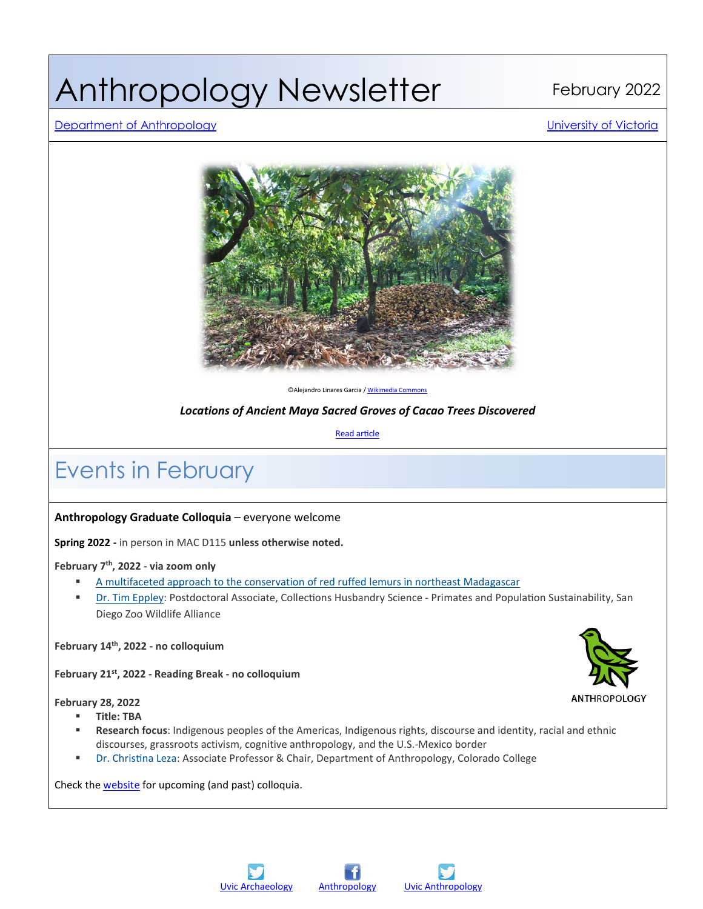# Anthropology Newsletter February 2022

#### [Department of Anthropology](http://www.uvic.ca/socialsciences/anthropology/) [University of Victoria](http://www.uvic.ca/)



©Alejandro Linares Garcia [/ Wikimedia Commons](https://commons.wikimedia.org/wiki/File:CacaoGroveChonita02.JPG)

*Locations of Ancient Maya Sacred Groves of Cacao Trees Discovered*

**Read article** 

### Events in February

#### **Anthropology Graduate Colloquia** – everyone welcome

**Spring 2022 -** in person in MAC D115 **unless otherwise noted.**

**February 7th, 2022 - via zoom only**

- A multifaceted approach to the [conservation](https://www.uvic.ca/socialsciences/anthropology/assets/docs/colloquium%20posters/eppley_colloquium_7-feb-22.pdf) of red ruffed lemurs in northeast Madagascar
- Dr. Tim [Eppley:](https://science.sandiegozoo.org/staff/timothy-eppley-phd) Postdoctoral Associate, Collections Husbandry Science Primates and Population Sustainability, San Diego Zoo Wildlife Alliance

**February 14th, 2022 - no colloquium**

**February 21st, 2022 - Reading Break - no colloquium**

**February 28, 2022**

- **Title: TBA**
- **Research focus**: Indigenous peoples of the Americas, Indigenous rights, discourse and identity, racial and ethnic discourses, grassroots activism, cognitive anthropology, and the U.S.-Mexico border
- Dr. Christina Leza: Associate Professor & Chair, Department of Anthropology, Colorado College

Check the [website](https://www.uvic.ca/socialsciences/anthropology/undergraduate/colloquium/index.php) for upcoming (and past) colloquia.







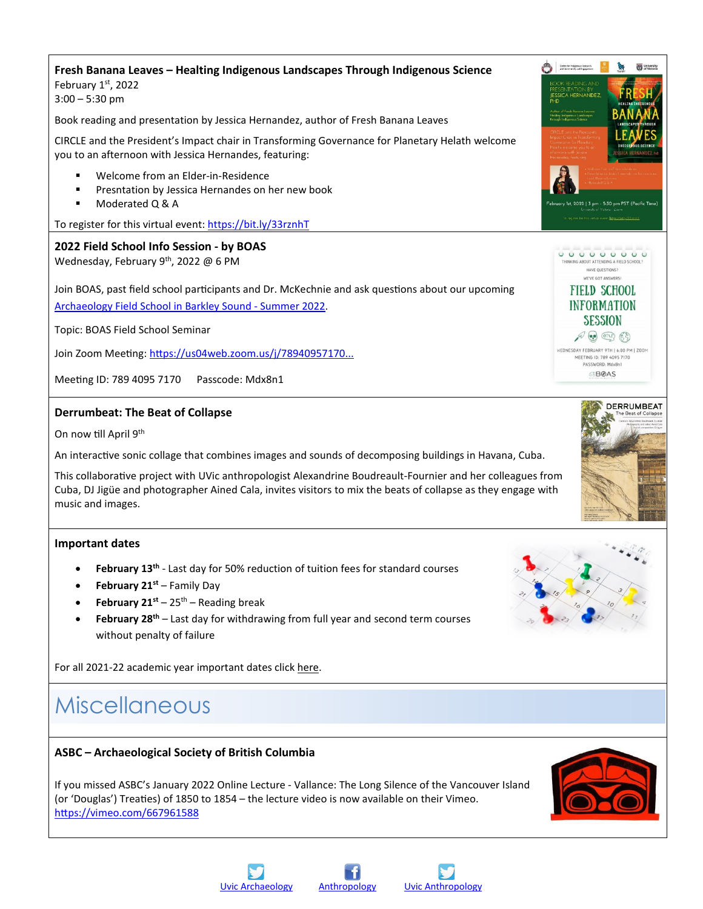### **Fresh Banana Leaves – Healting Indigenous Landscapes Through Indigenous Science** February 1st, 2022

3:00 – 5:30 pm

Book reading and presentation by Jessica Hernandez, author of Fresh Banana Leaves

CIRCLE and the President's Impact chair in Transforming Governance for Planetary Helath welcome you to an afternoon with Jessica Hernandes, featuring:

- Welcome from an Elder-in-Residence
- **Presntation by Jessica Hernandes on her new book**
- Moderated Q & A

To register for this virtual event:<https://bit.ly/33rznhT>

### **2022 Field School Info Session - by BOAS**

Wednesday, February 9<sup>th</sup>, 2022 @ 6 PM

Join BOAS, past field school participants and Dr. McKechnie and ask questions about our upcoming [Archaeology Field School in Barkley Sound -](https://www.uvic.ca/socialsciences/anthropology/undergraduate/fieldschools/barkleysound/index.php) Summer 2022.

Topic: BOAS Field School Seminar

Join Zoom Meeting: https://us04web.zoom.us/j/78940957170...

Meeting ID: 789 4095 7170 Passcode: Mdx8n1

### **Derrumbeat: The Beat of Collapse**

On now till April 9<sup>th</sup>

An interactive sonic collage that combines images and sounds of decomposing buildings in Havana, Cuba.

This collaborative project with UVic anthropologist Alexandrine Boudreault-Fournier and her colleagues from Cuba, DJ Jigüe and photographer Ained Cala, invites visitors to mix the beats of collapse as they engage with music and images.

#### **Important dates**

- February 13<sup>th</sup> Last day for 50% reduction of tuition fees for standard courses
- **February 21st** Family Day
- **February 21st** 25<sup>th</sup> Reading break
- February 28<sup>th</sup> Last day for withdrawing from full year and second term courses without penalty of failure

For all 2021-22 academic year important dates click [here.](https://www.uvic.ca/calendar/dates/)

### Miscellaneous

### **ASBC – Archaeological Society of British Columbia**

If you missed [ASBC's](https://www.facebook.com/ASBCVictoria/?__cft__%5b0%5d=AZUyaAgmWfnmGkjKA1bRZA1n2UZ5JJod81TLjOhwgvohl5Ulo7GBYfGpoQ1baGMmaazqhhW0Eu8E0yDjAqHBHCgBZpIbAlG0IYCqUGNaf7y_-DOEs-RBlE4GlIEHjOPphgGdvvh08YKXpYQx9GNdCp75VQt1kgNct5WynoOpNcDwC-lG2Z8xFSDzeCv4lzbp3Qo&__tn__=kK-R) January 2022 Online Lecture - Vallance: The Long Silence of the Vancouver Island (or 'Douglas') Trea�es) of 1850 to 1854 – the lecture video is now available on their Vimeo. [htps://vimeo.com/667961588](https://vimeo.com/667961588?fbclid=IwAR1hxBOrR_15ovNP8zlGZ_Dsj_JTavrqT5wsAfJj_wdni0HGXn4qo6_KYL4)





000000000 HAVE OUESTIONS? WE'VE GOT ANSWERS **FIELD SCHOOL INFORMATION SESSION**  $\n *A*$   $\n *A*$   $\n *B*$ **VEDNESDAY FEBRUARY 9TH | 6:00 PM | ZOOM** MEETING ID: 789 4095 7170<br>PASSWORD: Mdx8n1 **BOAS** 



Contro for Indigenous Research

**THE University** 



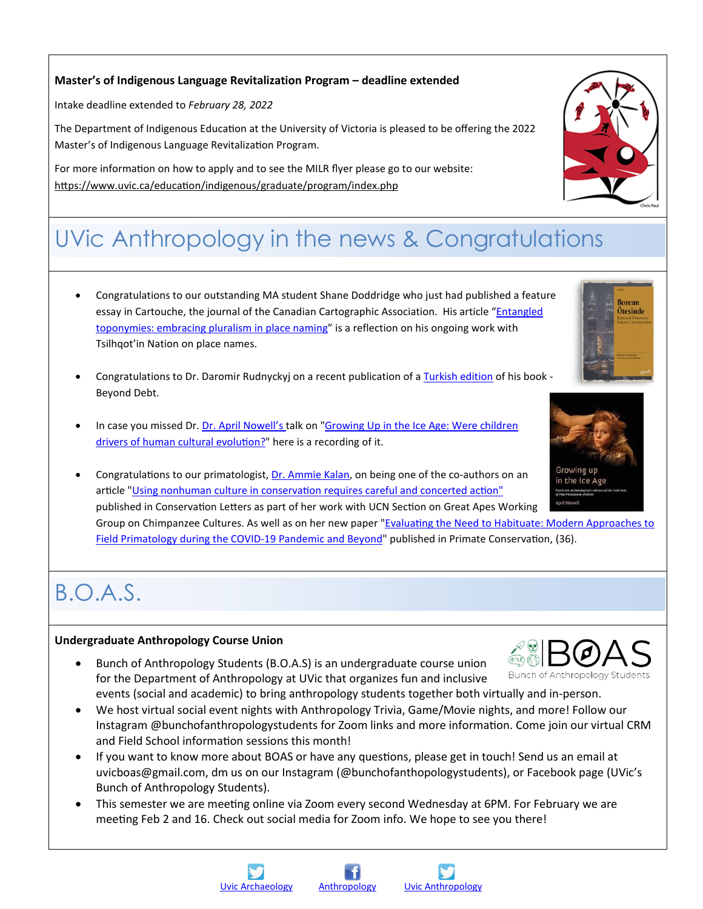### **Master's of Indigenous Language Revitalization Program – deadline extended**

Intake deadline extended to *February 28, 2022*

The Department of Indigenous Education at the University of Victoria is pleased to be offering the 2022 Master's of Indigenous Language Revitalization Program.

For more information on how to apply and to see the MILR flyer please go to our website: https://www.uvic.ca/education/indigenous/graduate/program/index.php

### UVic Anthropology in the news & Congratulations

- Congratulations to our outstanding MA student Shane Doddridge who just had published a feature essay in Cartouche, the journal of the Canadian Cartographic Association. His article ["Entangled](https://cca-acc.org/wp2020/wp-content/uploads/Cartouche_098_Dec2021.pdf?fbclid=IwAR26sggfjwca4ABpvsJ8_Hqj4Q_2qdfl1RzdKUp7CQQ0IvgYI3Bsb9AiA_o#page=24)  [toponymies: embracing pluralism in place naming"](https://cca-acc.org/wp2020/wp-content/uploads/Cartouche_098_Dec2021.pdf?fbclid=IwAR26sggfjwca4ABpvsJ8_Hqj4Q_2qdfl1RzdKUp7CQQ0IvgYI3Bsb9AiA_o#page=24) is a reflection on his ongoing work with Tsilhqot'in Nation on place names.
- Congratulations to Dr. Daromir Rudnyckyj on a recent publication of a [Turkish edition](https://albarakakultur.com/yayincilik/finans/borcun-otesinde-kuresel-finansta-islami-deneyimler?fbclid=IwAR292ebXuPDVq-raXmVoMRV2IRM16cGguPKTLMGzA44-BzXVB8ot5Zgf2ks) of his book Beyond Debt.
- In case you missed Dr. [Dr. April Nowell's](https://www.uvic.ca/socialsciences/anthropology/people/faculty/nowellapril.php) talk on "Growing Up in the Ice Age: Were children drivers of human cultural evolution?" here is a recording of it.
- Congratulations to our primatologist, [Dr. Ammie Kalan](https://www.uvic.ca/socialsciences/anthropology/people/faculty/kalan-ammie.php), on being one of the co-authors on an article "Using nonhuman culture in conservation requires careful and concerted action" published in Conservation Letters as part of her work with UCN Section on Great Apes Working Group on Chimpanzee Cultures. As well as on her new paper "Evaluating the Need to Habituate: Modern Approaches to Field Primatology during the COVID[-19 Pandemic and Beyond](http://static1.1.sqspcdn.com/static/f/1200343/28489285/1639599444080/PC36_Hansen_Kalan_et_al_Habituation.pdf?token=fkU6Gj79w02ARtGcuvKo9%2F2j9No%3D&fbclid=IwAR2L_NapqO4w3y4GAHKuCBWr5TEEy90elUbLnJMXZHTyWpGUFXxeU7fbal8)" published in Primate Conservation, (36).

### B.O.A.S.

#### **Undergraduate Anthropology Course Union**

- Bunch of Anthropology Students (B.O.A.S) is an undergraduate course union for the Department of Anthropology at UVic that organizes fun and inclusive events (social and academic) to bring anthropology students together both virtually and in-person.
- We host virtual social event nights with Anthropology Trivia, Game/Movie nights, and more! Follow our Instagram @bunchofanthropologystudents for Zoom links and more information. Come join our virtual CRM and Field School information sessions this month!
- If you want to know more about BOAS or have any questions, please get in touch! Send us an email at uvicboas@gmail.com, dm us on our Instagram (@bunchofanthopologystudents), or Facebook page (UVic's Bunch of Anthropology Students).
- This semester we are meeting online via Zoom every second Wednesday at 6PM. For February we are meeting Feb 2 and 16. Check out social media for Zoom info. We hope to see you there!



Otesinde